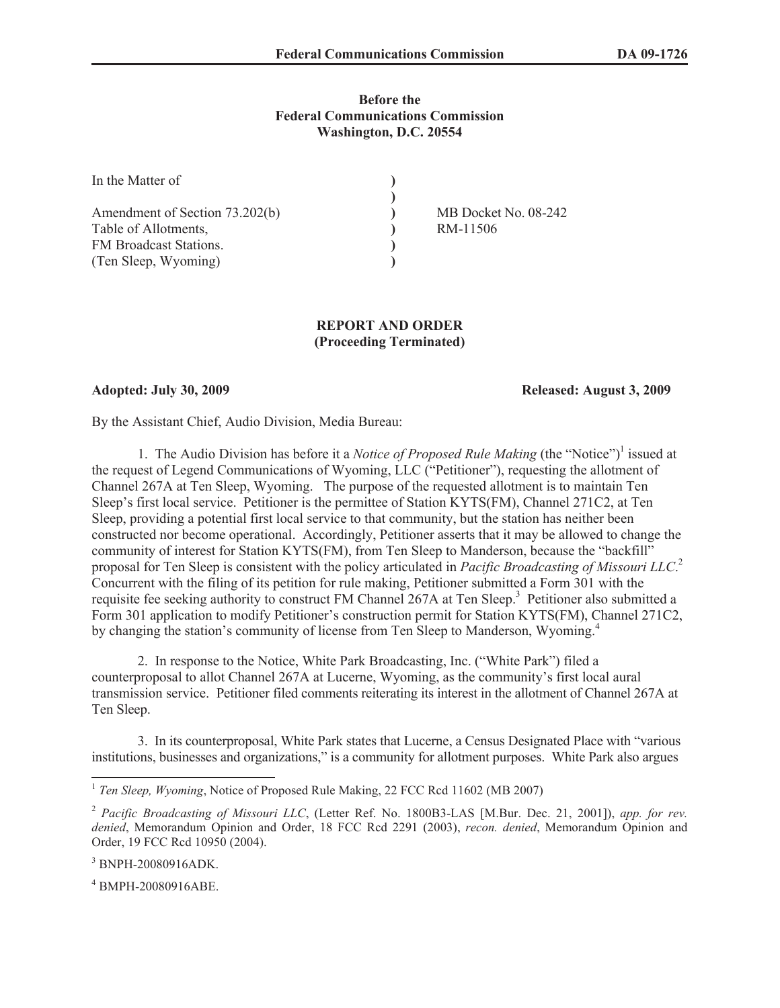## **Before the Federal Communications Commission Washington, D.C. 20554**

| In the Matter of               |                      |
|--------------------------------|----------------------|
|                                |                      |
| Amendment of Section 73.202(b) | MB Docket No. 08-242 |
| Table of Allotments,           | RM-11506             |
| FM Broadcast Stations.         |                      |
| (Ten Sleep, Wyoming)           |                      |

## **REPORT AND ORDER (Proceeding Terminated)**

## **Adopted: July 30, 2009 Released: August 3, 2009**

By the Assistant Chief, Audio Division, Media Bureau:

1. The Audio Division has before it a *Notice of Proposed Rule Making* (the "Notice")<sup>1</sup> issued at the request of Legend Communications of Wyoming, LLC ("Petitioner"), requesting the allotment of Channel 267A at Ten Sleep, Wyoming. The purpose of the requested allotment is to maintain Ten Sleep's first local service. Petitioner is the permittee of Station KYTS(FM), Channel 271C2, at Ten Sleep, providing a potential first local service to that community, but the station has neither been constructed nor become operational. Accordingly, Petitioner asserts that it may be allowed to change the community of interest for Station KYTS(FM), from Ten Sleep to Manderson, because the "backfill" proposal for Ten Sleep is consistent with the policy articulated in *Pacific Broadcasting of Missouri LLC*. 2 Concurrent with the filing of its petition for rule making, Petitioner submitted a Form 301 with the requisite fee seeking authority to construct FM Channel 267A at Ten Sleep.<sup>3</sup> Petitioner also submitted a Form 301 application to modify Petitioner's construction permit for Station KYTS(FM), Channel 271C2, by changing the station's community of license from Ten Sleep to Manderson, Wyoming.<sup>4</sup>

2. In response to the Notice, White Park Broadcasting, Inc. ("White Park") filed a counterproposal to allot Channel 267A at Lucerne, Wyoming, as the community's first local aural transmission service. Petitioner filed comments reiterating its interest in the allotment of Channel 267A at Ten Sleep.

3. In its counterproposal, White Park states that Lucerne, a Census Designated Place with "various institutions, businesses and organizations," is a community for allotment purposes. White Park also argues

<sup>&</sup>lt;sup>1</sup> Ten Sleep, Wyoming, Notice of Proposed Rule Making, 22 FCC Rcd 11602 (MB 2007)

<sup>2</sup> *Pacific Broadcasting of Missouri LLC*, (Letter Ref. No. 1800B3-LAS [M.Bur. Dec. 21, 2001]), *app. for rev. denied*, Memorandum Opinion and Order, 18 FCC Rcd 2291 (2003), *recon. denied*, Memorandum Opinion and Order, 19 FCC Rcd 10950 (2004).

<sup>3</sup> BNPH-20080916ADK.

<sup>4</sup> BMPH-20080916ABE.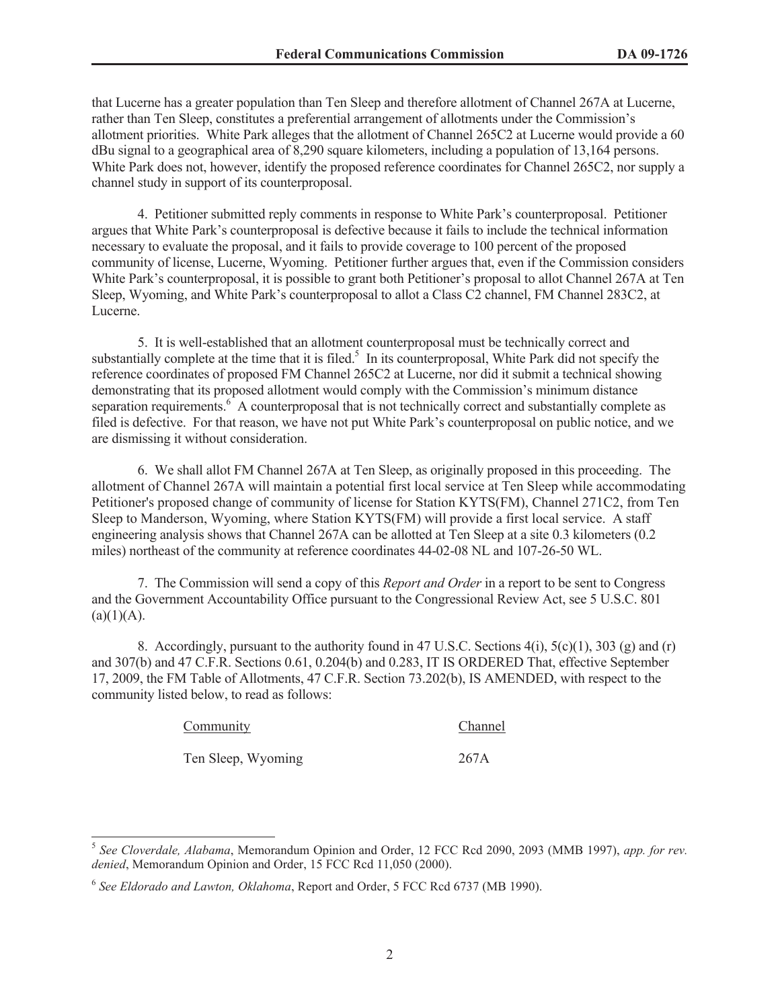that Lucerne has a greater population than Ten Sleep and therefore allotment of Channel 267A at Lucerne, rather than Ten Sleep, constitutes a preferential arrangement of allotments under the Commission's allotment priorities. White Park alleges that the allotment of Channel 265C2 at Lucerne would provide a 60 dBu signal to a geographical area of 8,290 square kilometers, including a population of 13,164 persons. White Park does not, however, identify the proposed reference coordinates for Channel 265C2, nor supply a channel study in support of its counterproposal.

4. Petitioner submitted reply comments in response to White Park's counterproposal. Petitioner argues that White Park's counterproposal is defective because it fails to include the technical information necessary to evaluate the proposal, and it fails to provide coverage to 100 percent of the proposed community of license, Lucerne, Wyoming. Petitioner further argues that, even if the Commission considers White Park's counterproposal, it is possible to grant both Petitioner's proposal to allot Channel 267A at Ten Sleep, Wyoming, and White Park's counterproposal to allot a Class C2 channel, FM Channel 283C2, at Lucerne.

5. It is well-established that an allotment counterproposal must be technically correct and substantially complete at the time that it is filed.<sup>5</sup> In its counterproposal, White Park did not specify the reference coordinates of proposed FM Channel 265C2 at Lucerne, nor did it submit a technical showing demonstrating that its proposed allotment would comply with the Commission's minimum distance separation requirements.<sup>6</sup> A counterproposal that is not technically correct and substantially complete as filed is defective. For that reason, we have not put White Park's counterproposal on public notice, and we are dismissing it without consideration.

6. We shall allot FM Channel 267A at Ten Sleep, as originally proposed in this proceeding. The allotment of Channel 267A will maintain a potential first local service at Ten Sleep while accommodating Petitioner's proposed change of community of license for Station KYTS(FM), Channel 271C2, from Ten Sleep to Manderson, Wyoming, where Station KYTS(FM) will provide a first local service. A staff engineering analysis shows that Channel 267A can be allotted at Ten Sleep at a site 0.3 kilometers (0.2 miles) northeast of the community at reference coordinates 44-02-08 NL and 107-26-50 WL.

7. The Commission will send a copy of this *Report and Order* in a report to be sent to Congress and the Government Accountability Office pursuant to the Congressional Review Act, see 5 U.S.C. 801  $(a)(1)(A)$ .

8. Accordingly, pursuant to the authority found in 47 U.S.C. Sections 4(i), 5(c)(1), 303 (g) and (r) and 307(b) and 47 C.F.R. Sections 0.61, 0.204(b) and 0.283, IT IS ORDERED That, effective September 17, 2009, the FM Table of Allotments, 47 C.F.R. Section 73.202(b), IS AMENDED, with respect to the community listed below, to read as follows:

| Community          | Channel |
|--------------------|---------|
| Ten Sleep, Wyoming | 267A    |

<sup>5</sup> *See Cloverdale, Alabama*, Memorandum Opinion and Order, 12 FCC Rcd 2090, 2093 (MMB 1997), *app. for rev. denied*, Memorandum Opinion and Order, 15 FCC Rcd 11,050 (2000).

<sup>6</sup> *See Eldorado and Lawton, Oklahoma*, Report and Order, 5 FCC Rcd 6737 (MB 1990).